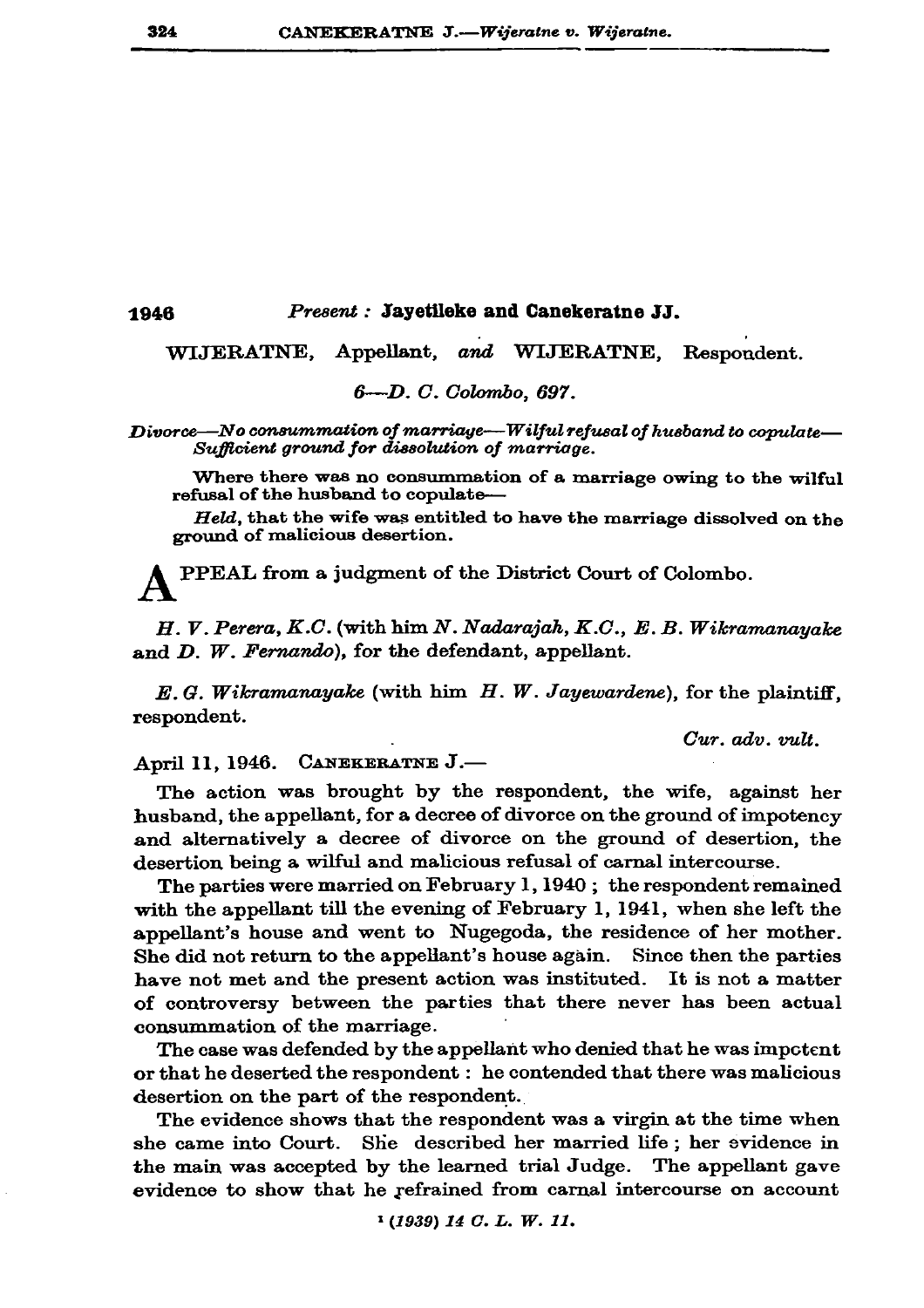1946

## Present : Jayetileke and Canekeratne JJ.

WIJERATNE, Appellant, and WIJERATNE, Respondent.

6—D. C. Colombo. 697.

Divorce—No consummation of marriage—Wilful refusal of husband to copulate— Sufficient ground for dissolution of marriage.

Where there was no consummation of a marriage owing to the wilful refusal of the husband to copulate-

Held, that the wife was entitled to have the marriage dissolved on the ground of malicious desertion.

PPEAL from a judgment of the District Court of Colombo.

H. V. Perera, K.C. (with him N. Nadarajah, K.C., E. B. Wikramanayake and  $D$ . W. Fernando), for the defendant, appellant.

 $E. G.$  Wikramanayake (with him  $H. W.$  Jayewardene), for the plaintiff, respondent.

Cur. adv. vult.

April 11, 1946. CANEKERATNE J.-

The action was brought by the respondent, the wife, against her husband, the appellant, for a decree of divorce on the ground of impotency and alternatively a decree of divorce on the ground of desertion, the desertion being a wilful and malicious refusal of carnal intercourse.

The parties were married on February 1, 1940; the respondent remained with the appellant till the evening of February 1, 1941, when she left the appellant's house and went to Nugegoda, the residence of her mother. She did not return to the appellant's house again. Since then the parties have not met and the present action was instituted. It is not a matter of controversy between the parties that there never has been actual consummation of the marriage.

The case was defended by the appellant who denied that he was impotent or that he deserted the respondent : he contended that there was malicious desertion on the part of the respondent.

The evidence shows that the respondent was a virgin at the time when she came into Court. She described her married life; her evidence in the main was accepted by the learned trial Judge. The appellant gave evidence to show that he refrained from carnal intercourse on account

 $(1939)$  14 C.L.W.11.